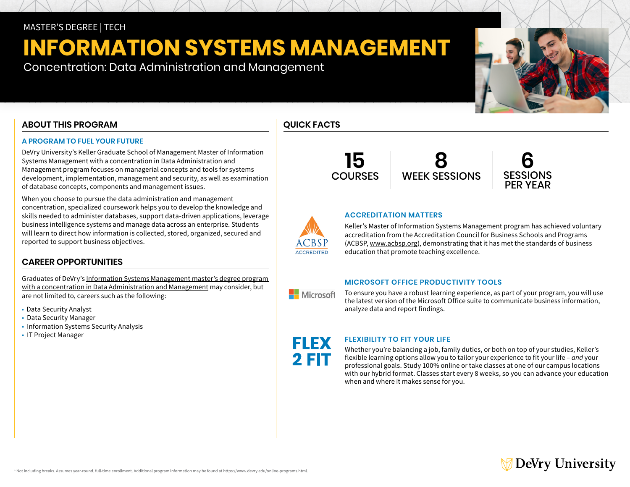### MASTER'S DEGREE | TECH

# **INFORMATION SYSTEMS MANAGEMENT**

Concentration: Data Administration and Management

### **ABOUT THIS PROGRAM**

### **A PROGRAM TO FUEL YOUR FUTURE**

DeVry University's Keller Graduate School of Management Master of Information Systems Management with a concentration in Data Administration and Management program focuses on managerial concepts and tools for systems development, implementation, management and security, as well as examination of database concepts, components and management issues.

When you choose to pursue the data administration and management concentration, specialized coursework helps you to develop the knowledge and skills needed to administer databases, support data-driven applications, leverage business intelligence systems and manage data across an enterprise. Students will learn to direct how information is collected, stored, organized, secured and reported to support business objectives.

### **CAREER OPPORTUNITIES**

Graduates of DeVry's [Information Systems Management master's degree program](https://www.devry.edu/online-programs/masters-degrees/information-systems-management.html)  [with a concentration in Data Administration and Management](https://www.devry.edu/online-programs/masters-degrees/information-systems-management.html) may consider, but are not limited to, careers such as the following:

- Data Security Analyst
- Data Security Manager
- Information Systems Security Analysis
- IT Project Manager









### **ACCREDITATION MATTERS**

Keller's Master of Information Systems Management program has achieved voluntary accreditation from the Accreditation Council for Business Schools and Programs (ACBSP, [www.acbsp.org\)](https://www.acbsp.org), demonstrating that it has met the standards of business education that promote teaching excellence.

### **MICROSOFT OFFICE PRODUCTIVITY TOOLS**

To ensure you have a robust learning experience, as part of your program, you will use the latest version of the Microsoft Office suite to communicate business information, analyze data and report findings.

FLEX 2 FIT

**ACCREDITED** 

Microsoft

### **FLEXIBILITY TO FIT YOUR LIFE**

Whether you're balancing a job, family duties, or both on top of your studies, Keller's flexible learning options allow you to tailor your experience to fit your life – *and* your professional goals. Study 100% online or take classes at one of our campus locations with our hybrid format. Classes start every 8 weeks, so you can advance your education when and where it makes sense for you.

## ∕ DeVry University